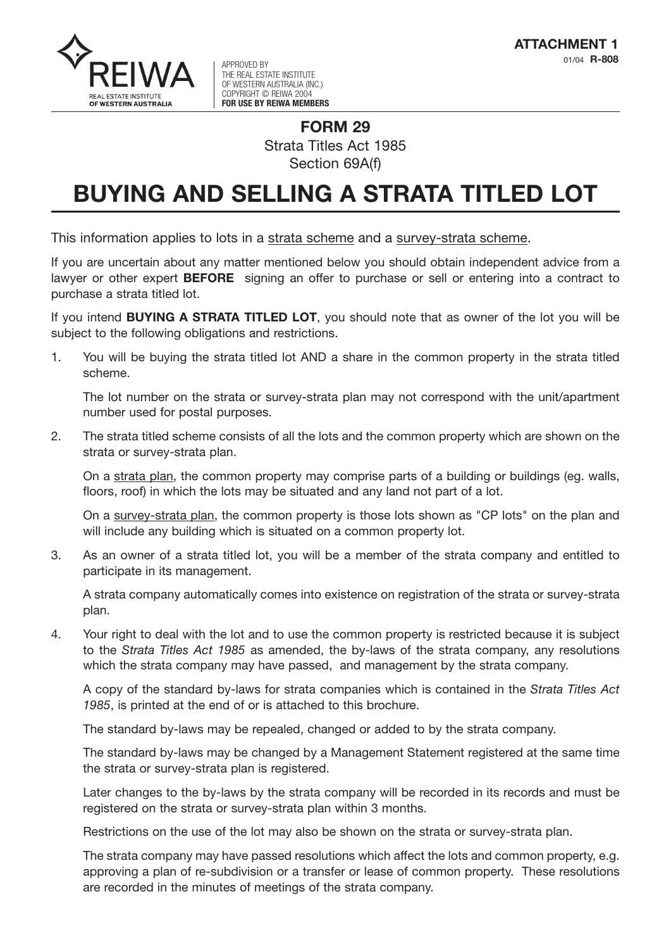

01/04 **R-808** APPROVED BY THE REAL ESTATE INSTITUTE OF WESTERN AUSTRALIA (INC.) COPYRIGHT © REIWA 2004 **FOR USE BY REIWA MEMBERS**

## **FORM 29** Strata Titles Act 1985 Section 69A(f)

## **BUYING AND SELLING A STRATA TITLED LOT**

This information applies to lots in a strata scheme and a survey-strata scheme.

If you are uncertain about any matter mentioned below you should obtain independent advice from a lawyer or other expert **BEFORE** signing an offer to purchase or sell or entering into a contract to purchase a strata titled lot.

If you intend **BUYING A STRATA TITLED LOT**, you should note that as owner of the lot you will be subject to the following obligations and restrictions.

1. You will be buying the strata titled lot AND a share in the common property in the strata titled scheme.

The lot number on the strata or survey-strata plan may not correspond with the unit/apartment number used for postal purposes.

2. The strata titled scheme consists of all the lots and the common property which are shown on the strata or survey-strata plan.

On a strata plan, the common property may comprise parts of a building or buildings (eg. walls, floors, roof) in which the lots may be situated and any land not part of a lot.

On a survey-strata plan, the common property is those lots shown as "CP lots" on the plan and will include any building which is situated on a common property lot.

3. As an owner of a strata titled lot, you will be a member of the strata company and entitled to participate in its management.

A strata company automatically comes into existence on registration of the strata or survey-strata plan.

4. Your right to deal with the lot and to use the common property is restricted because it is subject to the *Strata Titles Act 1985* as amended, the by-laws of the strata company, any resolutions which the strata company may have passed, and management by the strata company.

A copy of the standard by-laws for strata companies which is contained in the *Strata Titles Act 1985*, is printed at the end of or is attached to this brochure.

The standard by-laws may be repealed, changed or added to by the strata company.

The standard by-laws may be changed by a Management Statement registered at the same time the strata or survey-strata plan is registered.

Later changes to the by-laws by the strata company will be recorded in its records and must be registered on the strata or survey-strata plan within 3 months.

Restrictions on the use of the lot may also be shown on the strata or survey-strata plan.

The strata company may have passed resolutions which affect the lots and common property, e.g. approving a plan of re-subdivision or a transfer or lease of common property. These resolutions are recorded in the minutes of meetings of the strata company.